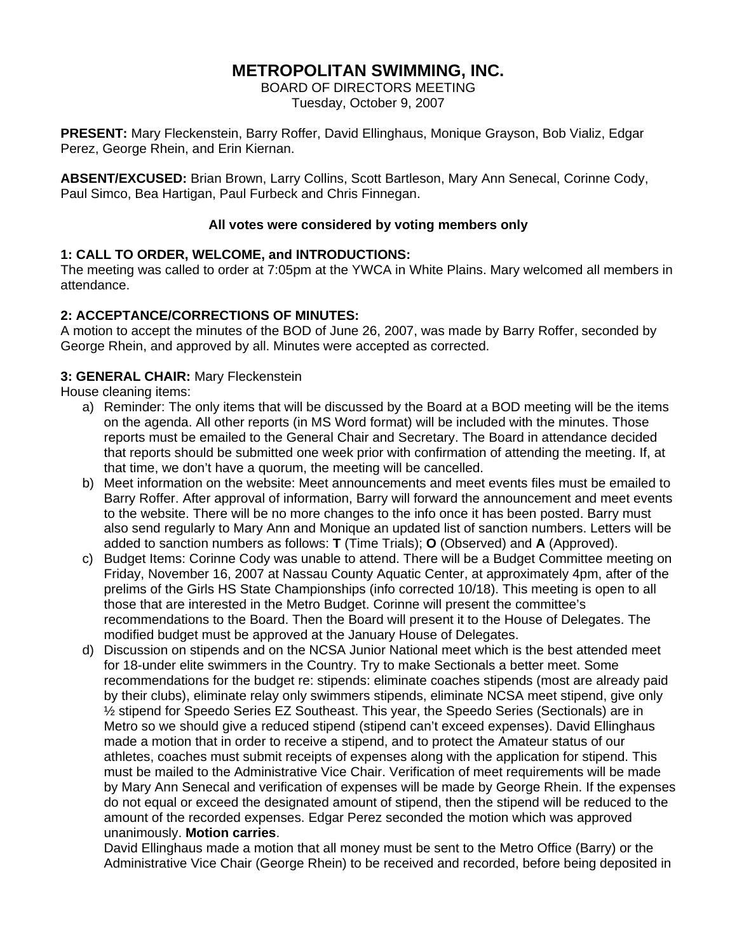# **METROPOLITAN SWIMMING, INC.**

BOARD OF DIRECTORS MEETING Tuesday, October 9, 2007

**PRESENT:** Mary Fleckenstein, Barry Roffer, David Ellinghaus, Monique Grayson, Bob Vializ, Edgar Perez, George Rhein, and Erin Kiernan.

**ABSENT/EXCUSED:** Brian Brown, Larry Collins, Scott Bartleson, Mary Ann Senecal, Corinne Cody, Paul Simco, Bea Hartigan, Paul Furbeck and Chris Finnegan.

## **All votes were considered by voting members only**

## **1: CALL TO ORDER, WELCOME, and INTRODUCTIONS:**

The meeting was called to order at 7:05pm at the YWCA in White Plains. Mary welcomed all members in attendance.

## **2: ACCEPTANCE/CORRECTIONS OF MINUTES:**

A motion to accept the minutes of the BOD of June 26, 2007, was made by Barry Roffer, seconded by George Rhein, and approved by all. Minutes were accepted as corrected.

## **3: GENERAL CHAIR:** Mary Fleckenstein

House cleaning items:

- a) Reminder: The only items that will be discussed by the Board at a BOD meeting will be the items on the agenda. All other reports (in MS Word format) will be included with the minutes. Those reports must be emailed to the General Chair and Secretary. The Board in attendance decided that reports should be submitted one week prior with confirmation of attending the meeting. If, at that time, we don't have a quorum, the meeting will be cancelled.
- b) Meet information on the website: Meet announcements and meet events files must be emailed to Barry Roffer. After approval of information, Barry will forward the announcement and meet events to the website. There will be no more changes to the info once it has been posted. Barry must also send regularly to Mary Ann and Monique an updated list of sanction numbers. Letters will be added to sanction numbers as follows: **T** (Time Trials); **O** (Observed) and **A** (Approved).
- c) Budget Items: Corinne Cody was unable to attend. There will be a Budget Committee meeting on Friday, November 16, 2007 at Nassau County Aquatic Center, at approximately 4pm, after of the prelims of the Girls HS State Championships (info corrected 10/18). This meeting is open to all those that are interested in the Metro Budget. Corinne will present the committee's recommendations to the Board. Then the Board will present it to the House of Delegates. The modified budget must be approved at the January House of Delegates.
- d) Discussion on stipends and on the NCSA Junior National meet which is the best attended meet for 18-under elite swimmers in the Country. Try to make Sectionals a better meet. Some recommendations for the budget re: stipends: eliminate coaches stipends (most are already paid by their clubs), eliminate relay only swimmers stipends, eliminate NCSA meet stipend, give only ½ stipend for Speedo Series EZ Southeast. This year, the Speedo Series (Sectionals) are in Metro so we should give a reduced stipend (stipend can't exceed expenses). David Ellinghaus made a motion that in order to receive a stipend, and to protect the Amateur status of our athletes, coaches must submit receipts of expenses along with the application for stipend. This must be mailed to the Administrative Vice Chair. Verification of meet requirements will be made by Mary Ann Senecal and verification of expenses will be made by George Rhein. If the expenses do not equal or exceed the designated amount of stipend, then the stipend will be reduced to the amount of the recorded expenses. Edgar Perez seconded the motion which was approved unanimously. **Motion carries**.

David Ellinghaus made a motion that all money must be sent to the Metro Office (Barry) or the Administrative Vice Chair (George Rhein) to be received and recorded, before being deposited in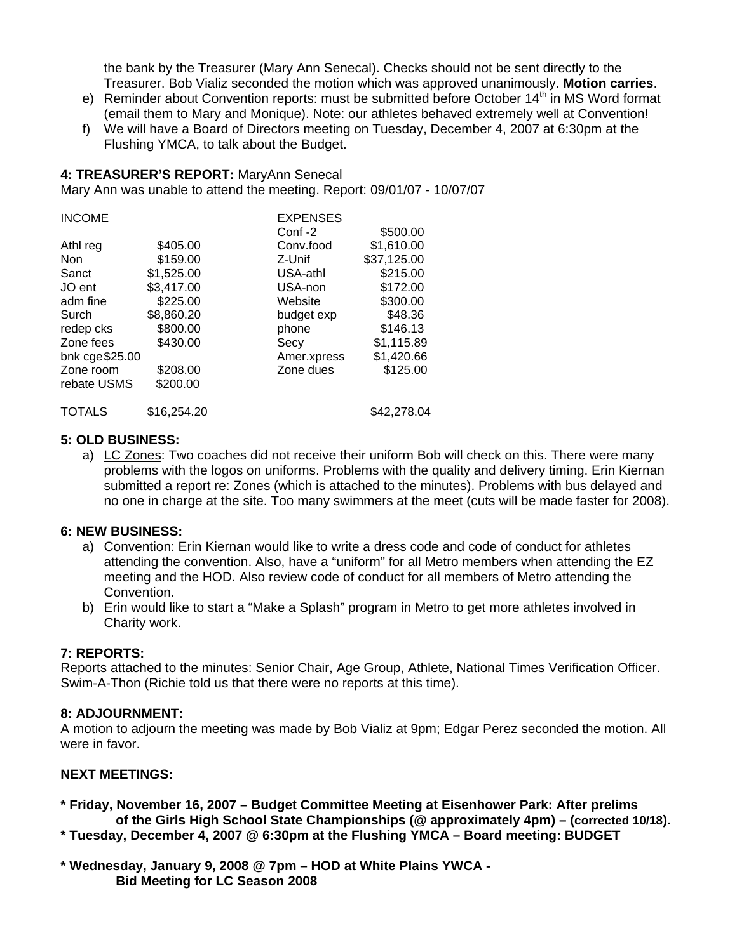the bank by the Treasurer (Mary Ann Senecal). Checks should not be sent directly to the Treasurer. Bob Vializ seconded the motion which was approved unanimously. **Motion carries**.

- e) Reminder about Convention reports: must be submitted before October  $14<sup>th</sup>$  in MS Word format (email them to Mary and Monique). Note: our athletes behaved extremely well at Convention!
- f) We will have a Board of Directors meeting on Tuesday, December 4, 2007 at 6:30pm at the Flushing YMCA, to talk about the Budget.

#### **4: TREASURER'S REPORT:** MaryAnn Senecal

Mary Ann was unable to attend the meeting. Report: 09/01/07 - 10/07/07

| <b>INCOME</b>  |             | <b>EXPENSES</b> |             |
|----------------|-------------|-----------------|-------------|
|                |             | Conf-2          | \$500.00    |
| Athl reg       | \$405.00    | Conv.food       | \$1,610.00  |
| <b>Non</b>     | \$159.00    | Z-Unif          | \$37,125.00 |
| Sanct          | \$1,525.00  | USA-athl        | \$215.00    |
| JO ent         | \$3,417.00  | USA-non         | \$172.00    |
| adm fine       | \$225.00    | Website         | \$300.00    |
| Surch          | \$8,860.20  | budget exp      | \$48.36     |
| redep cks      | \$800.00    | phone           | \$146.13    |
| Zone fees      | \$430.00    | Secy            | \$1,115.89  |
| bnk cge\$25.00 |             | Amer.xpress     | \$1,420.66  |
| Zone room      | \$208.00    | Zone dues       | \$125.00    |
| rebate USMS    | \$200.00    |                 |             |
| <b>TOTALS</b>  | \$16,254.20 |                 | \$42,278.04 |

#### **5: OLD BUSINESS:**

a) LC Zones: Two coaches did not receive their uniform Bob will check on this. There were many problems with the logos on uniforms. Problems with the quality and delivery timing. Erin Kiernan submitted a report re: Zones (which is attached to the minutes). Problems with bus delayed and no one in charge at the site. Too many swimmers at the meet (cuts will be made faster for 2008).

#### **6: NEW BUSINESS:**

- a) Convention: Erin Kiernan would like to write a dress code and code of conduct for athletes attending the convention. Also, have a "uniform" for all Metro members when attending the EZ meeting and the HOD. Also review code of conduct for all members of Metro attending the Convention.
- b) Erin would like to start a "Make a Splash" program in Metro to get more athletes involved in Charity work.

#### **7: REPORTS:**

Reports attached to the minutes: Senior Chair, Age Group, Athlete, National Times Verification Officer. Swim-A-Thon (Richie told us that there were no reports at this time).

## **8: ADJOURNMENT:**

A motion to adjourn the meeting was made by Bob Vializ at 9pm; Edgar Perez seconded the motion. All were in favor.

#### **NEXT MEETINGS:**

**\* Friday, November 16, 2007 – Budget Committee Meeting at Eisenhower Park: After prelims of the Girls High School State Championships (@ approximately 4pm) – (corrected 10/18).** 

- **\* Tuesday, December 4, 2007 @ 6:30pm at the Flushing YMCA Board meeting: BUDGET**
- **\* Wednesday, January 9, 2008 @ 7pm HOD at White Plains YWCA Bid Meeting for LC Season 2008**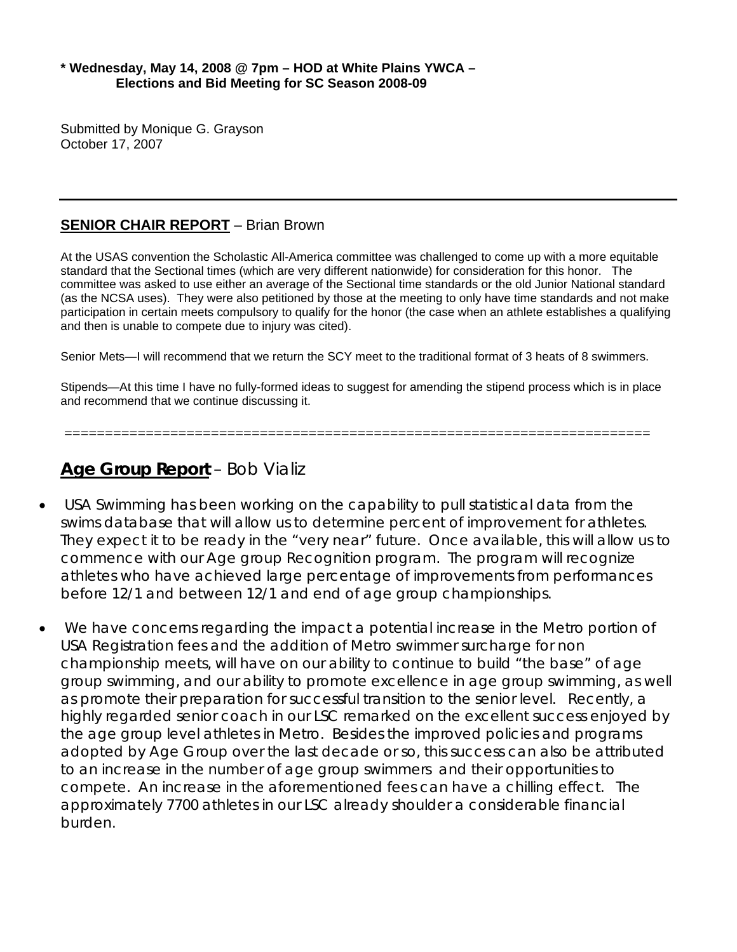## **\* Wednesday, May 14, 2008 @ 7pm – HOD at White Plains YWCA – Elections and Bid Meeting for SC Season 2008-09**

Submitted by Monique G. Grayson October 17, 2007

# **SENIOR CHAIR REPORT** – Brian Brown

At the USAS convention the Scholastic All-America committee was challenged to come up with a more equitable standard that the Sectional times (which are very different nationwide) for consideration for this honor. The committee was asked to use either an average of the Sectional time standards or the old Junior National standard (as the NCSA uses). They were also petitioned by those at the meeting to only have time standards and not make participation in certain meets compulsory to qualify for the honor (the case when an athlete establishes a qualifying and then is unable to compete due to injury was cited).

Senior Mets—I will recommend that we return the SCY meet to the traditional format of 3 heats of 8 swimmers.

Stipends—At this time I have no fully-formed ideas to suggest for amending the stipend process which is in place and recommend that we continue discussing it.

========================================================================

# **Age Group Report** – Bob Vializ

- USA Swimming has been working on the capability to pull statistical data from the swims database that will allow us to determine percent of improvement for athletes. They expect it to be ready in the "very near" future. Once available, this will allow us to commence with our Age group Recognition program. The program will recognize athletes who have achieved large percentage of improvements from performances before 12/1 and between 12/1 and end of age group championships.
- We have concerns regarding the impact a potential increase in the Metro portion of USA Registration fees and the addition of Metro swimmer surcharge for non championship meets, will have on our ability to continue to build "the base" of age group swimming, and our ability to promote excellence in age group swimming, as well as promote their preparation for successful transition to the senior level. Recently, a highly regarded senior coach in our LSC remarked on the excellent success enjoyed by the age group level athletes in Metro. Besides the improved policies and programs adopted by Age Group over the last decade or so, this success can also be attributed to an increase in the number of age group swimmers and their opportunities to compete. An increase in the aforementioned fees can have a chilling effect. The approximately 7700 athletes in our LSC already shoulder a considerable financial burden.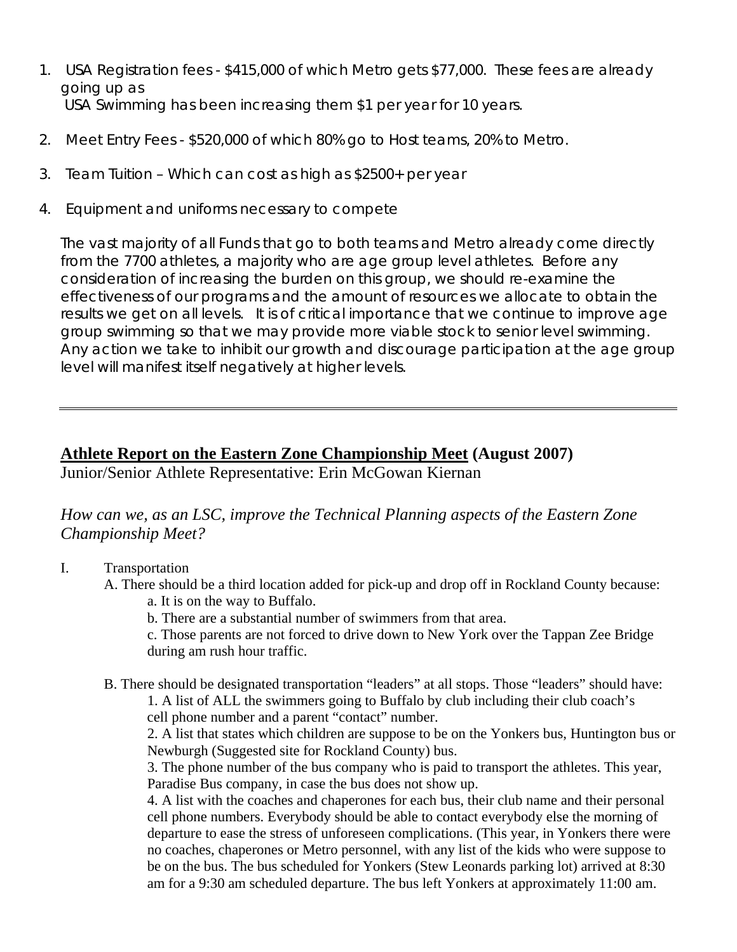- 1. USA Registration fees \$415,000 of which Metro gets \$77,000. These fees are already going up as USA Swimming has been increasing them \$1 per year for 10 years.
- 2. Meet Entry Fees \$520,000 of which 80% go to Host teams, 20% to Metro.
- 3. Team Tuition Which can cost as high as \$2500+ per year
- 4. Equipment and uniforms necessary to compete

The vast majority of all Funds that go to both teams and Metro already come directly from the 7700 athletes, a majority who are age group level athletes. Before any consideration of increasing the burden on this group, we should re-examine the effectiveness of our programs and the amount of resources we allocate to obtain the results we get on all levels. It is of critical importance that we continue to improve age group swimming so that we may provide more viable stock to senior level swimming. Any action we take to inhibit our growth and discourage participation at the age group level will manifest itself negatively at higher levels.

# **Athlete Report on the Eastern Zone Championship Meet (August 2007)**

Junior/Senior Athlete Representative: Erin McGowan Kiernan

*How can we, as an LSC, improve the Technical Planning aspects of the Eastern Zone Championship Meet?* 

- I. Transportation
	- A. There should be a third location added for pick-up and drop off in Rockland County because: a. It is on the way to Buffalo.
		- b. There are a substantial number of swimmers from that area.

c. Those parents are not forced to drive down to New York over the Tappan Zee Bridge during am rush hour traffic.

B. There should be designated transportation "leaders" at all stops. Those "leaders" should have:

1. A list of ALL the swimmers going to Buffalo by club including their club coach's cell phone number and a parent "contact" number.

2. A list that states which children are suppose to be on the Yonkers bus, Huntington bus or Newburgh (Suggested site for Rockland County) bus.

3. The phone number of the bus company who is paid to transport the athletes. This year, Paradise Bus company, in case the bus does not show up.

4. A list with the coaches and chaperones for each bus, their club name and their personal cell phone numbers. Everybody should be able to contact everybody else the morning of departure to ease the stress of unforeseen complications. (This year, in Yonkers there were no coaches, chaperones or Metro personnel, with any list of the kids who were suppose to be on the bus. The bus scheduled for Yonkers (Stew Leonards parking lot) arrived at 8:30 am for a 9:30 am scheduled departure. The bus left Yonkers at approximately 11:00 am.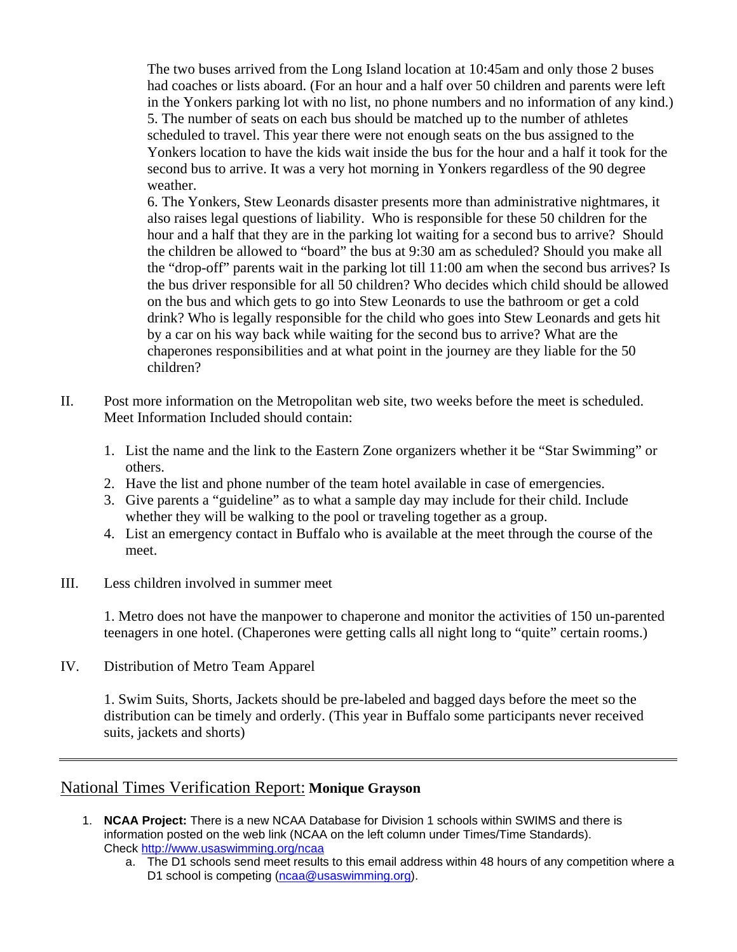The two buses arrived from the Long Island location at 10:45am and only those 2 buses had coaches or lists aboard. (For an hour and a half over 50 children and parents were left in the Yonkers parking lot with no list, no phone numbers and no information of any kind.) 5. The number of seats on each bus should be matched up to the number of athletes scheduled to travel. This year there were not enough seats on the bus assigned to the Yonkers location to have the kids wait inside the bus for the hour and a half it took for the second bus to arrive. It was a very hot morning in Yonkers regardless of the 90 degree weather.

6. The Yonkers, Stew Leonards disaster presents more than administrative nightmares, it also raises legal questions of liability. Who is responsible for these 50 children for the hour and a half that they are in the parking lot waiting for a second bus to arrive? Should the children be allowed to "board" the bus at 9:30 am as scheduled? Should you make all the "drop-off" parents wait in the parking lot till 11:00 am when the second bus arrives? Is the bus driver responsible for all 50 children? Who decides which child should be allowed on the bus and which gets to go into Stew Leonards to use the bathroom or get a cold drink? Who is legally responsible for the child who goes into Stew Leonards and gets hit by a car on his way back while waiting for the second bus to arrive? What are the chaperones responsibilities and at what point in the journey are they liable for the 50 children?

- II. Post more information on the Metropolitan web site, two weeks before the meet is scheduled. Meet Information Included should contain:
	- 1. List the name and the link to the Eastern Zone organizers whether it be "Star Swimming" or others.
	- 2. Have the list and phone number of the team hotel available in case of emergencies.
	- 3. Give parents a "guideline" as to what a sample day may include for their child. Include whether they will be walking to the pool or traveling together as a group.
	- 4. List an emergency contact in Buffalo who is available at the meet through the course of the meet.
- III. Less children involved in summer meet

1. Metro does not have the manpower to chaperone and monitor the activities of 150 un-parented teenagers in one hotel. (Chaperones were getting calls all night long to "quite" certain rooms.)

IV. Distribution of Metro Team Apparel

1. Swim Suits, Shorts, Jackets should be pre-labeled and bagged days before the meet so the distribution can be timely and orderly. (This year in Buffalo some participants never received suits, jackets and shorts)

# National Times Verification Report: **Monique Grayson**

- 1. **NCAA Project:** There is a new NCAA Database for Division 1 schools within SWIMS and there is information posted on the web link (NCAA on the left column under Times/Time Standards). Check <http://www.usaswimming.org/ncaa>
	- a. The D1 schools send meet results to this email address within 48 hours of any competition where a D1 school is competing ([ncaa@usaswimming.org\)](mailto:ncaa@usaswimming.org).